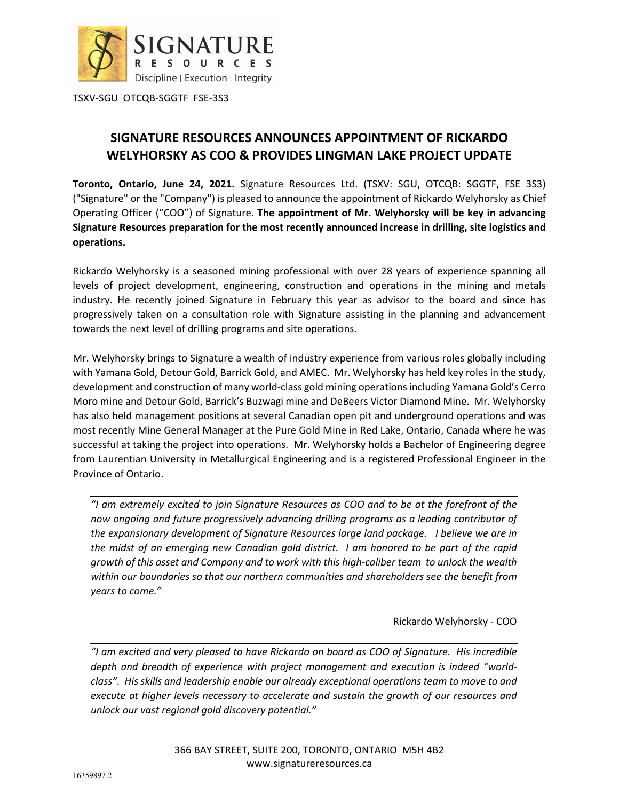

TSXV-SGU OTCQB-SGGTF FSE-3S3

# **SIGNATURE RESOURCES ANNOUNCES APPOINTMENT OF RICKARDO WELYHORSKY AS COO & PROVIDES LINGMAN LAKE PROJECT UPDATE**

**Toronto, Ontario, June 24, 2021.** Signature Resources Ltd. (TSXV: SGU, OTCQB: SGGTF, FSE 3S3) ("Signature" or the "Company") is pleased to announce the appointment of Rickardo Welyhorsky as Chief Operating Officer ("COO") of Signature. **The appointment of Mr. Welyhorsky will be key in advancing Signature Resources preparation for the most recently announced increase in drilling, site logistics and operations.** 

Rickardo Welyhorsky is a seasoned mining professional with over 28 years of experience spanning all levels of project development, engineering, construction and operations in the mining and metals industry. He recently joined Signature in February this year as advisor to the board and since has progressively taken on a consultation role with Signature assisting in the planning and advancement towards the next level of drilling programs and site operations.

Mr. Welyhorsky brings to Signature a wealth of industry experience from various roles globally including with Yamana Gold, Detour Gold, Barrick Gold, and AMEC. Mr. Welyhorsky has held key roles in the study, development and construction of many world-class gold mining operations including Yamana Gold's Cerro Moro mine and Detour Gold, Barrick's Buzwagi mine and DeBeers Victor Diamond Mine. Mr. Welyhorsky has also held management positions at several Canadian open pit and underground operations and was most recently Mine General Manager at the Pure Gold Mine in Red Lake, Ontario, Canada where he was successful at taking the project into operations. Mr. Welyhorsky holds a Bachelor of Engineering degree from Laurentian University in Metallurgical Engineering and is a registered Professional Engineer in the Province of Ontario.

*"I am extremely excited to join Signature Resources as COO and to be at the forefront of the now ongoing and future progressively advancing drilling programs as a leading contributor of the expansionary development of Signature Resources large land package. I believe we are in the midst of an emerging new Canadian gold district. I am honored to be part of the rapid growth of this asset and Company and to work with this high-caliber team to unlock the wealth within our boundaries so that our northern communities and shareholders see the benefit from years to come."* 

Rickardo Welyhorsky - COO

*"I am excited and very pleased to have Rickardo on board as COO of Signature. His incredible depth and breadth of experience with project management and execution is indeed "worldclass". His skills and leadership enable our already exceptional operations team to move to and execute at higher levels necessary to accelerate and sustain the growth of our resources and unlock our vast regional gold discovery potential."*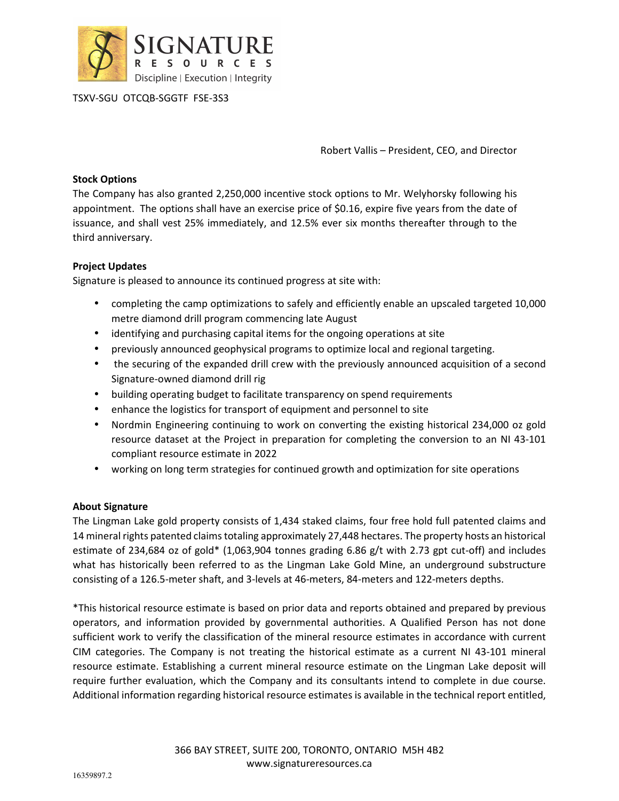

TSXV-SGU OTCQB-SGGTF FSE-3S3

Robert Vallis – President, CEO, and Director

### **Stock Options**

The Company has also granted 2,250,000 incentive stock options to Mr. Welyhorsky following his appointment. The options shall have an exercise price of \$0.16, expire five years from the date of issuance, and shall vest 25% immediately, and 12.5% ever six months thereafter through to the third anniversary.

## **Project Updates**

Signature is pleased to announce its continued progress at site with:

- completing the camp optimizations to safely and efficiently enable an upscaled targeted 10,000 metre diamond drill program commencing late August
- identifying and purchasing capital items for the ongoing operations at site
- previously announced geophysical programs to optimize local and regional targeting.
- the securing of the expanded drill crew with the previously announced acquisition of a second Signature-owned diamond drill rig
- building operating budget to facilitate transparency on spend requirements
- enhance the logistics for transport of equipment and personnel to site
- Nordmin Engineering continuing to work on converting the existing historical 234,000 oz gold resource dataset at the Project in preparation for completing the conversion to an NI 43-101 compliant resource estimate in 2022
- working on long term strategies for continued growth and optimization for site operations

## **About Signature**

The Lingman Lake gold property consists of 1,434 staked claims, four free hold full patented claims and 14 mineral rights patented claims totaling approximately 27,448 hectares. The property hosts an historical estimate of 234,684 oz of gold\* (1,063,904 tonnes grading 6.86 g/t with 2.73 gpt cut-off) and includes what has historically been referred to as the Lingman Lake Gold Mine, an underground substructure consisting of a 126.5-meter shaft, and 3-levels at 46-meters, 84-meters and 122-meters depths.

\*This historical resource estimate is based on prior data and reports obtained and prepared by previous operators, and information provided by governmental authorities. A Qualified Person has not done sufficient work to verify the classification of the mineral resource estimates in accordance with current CIM categories. The Company is not treating the historical estimate as a current NI 43-101 mineral resource estimate. Establishing a current mineral resource estimate on the Lingman Lake deposit will require further evaluation, which the Company and its consultants intend to complete in due course. Additional information regarding historical resource estimates is available in the technical report entitled,